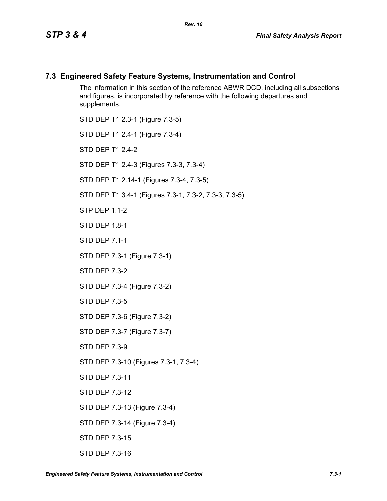#### **7.3 Engineered Safety Feature Systems, Instrumentation and Control**

The information in this section of the reference ABWR DCD, including all subsections and figures, is incorporated by reference with the following departures and supplements.

STD DEP T1 2.3-1 (Figure 7.3-5) STD DEP T1 2.4-1 (Figure 7.3-4) STD DFP T1 2 4-2 STD DEP T1 2.4-3 (Figures 7.3-3, 7.3-4) STD DEP T1 2.14-1 (Figures 7.3-4, 7.3-5) STD DEP T1 3.4-1 (Figures 7.3-1, 7.3-2, 7.3-3, 7.3-5) **STP DFP 1 1-2** STD DEP 1.8-1 STD DEP 7.1-1 STD DEP 7.3-1 (Figure 7.3-1) STD DEP 7.3-2 STD DEP 7.3-4 (Figure 7.3-2) STD DEP 7.3-5 STD DEP 7.3-6 (Figure 7.3-2) STD DEP 7.3-7 (Figure 7.3-7) STD DEP 7.3-9 STD DEP 7.3-10 (Figures 7.3-1, 7.3-4) STD DEP 7.3-11 STD DEP 7.3-12 STD DEP 7.3-13 (Figure 7.3-4) STD DEP 7.3-14 (Figure 7.3-4) STD DEP 7.3-15

STD DEP 7.3-16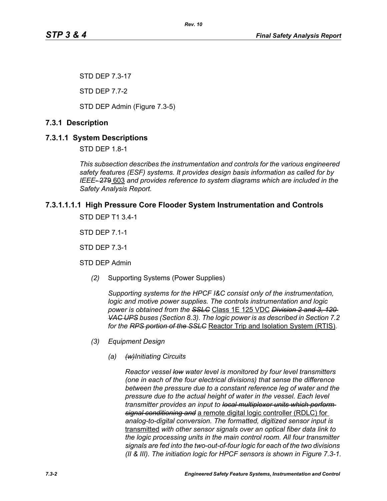STD DEP 7.3-17

STD DEP 7.7-2

STD DEP Admin (Figure 7.3-5)

# **7.3.1 Description**

# **7.3.1.1 System Descriptions**

STD DEP 1.8-1

*This subsection describes the instrumentation and controls for the various engineered safety features (ESF) systems. It provides design basis information as called for by IEEE-* 279 603 *and provides reference to system diagrams which are included in the Safety Analysis Report.*

# **7.3.1.1.1.1 High Pressure Core Flooder System Instrumentation and Controls**

STD DEP T1 3.4-1

STD DEP 7.1-1

STD DEP 7.3-1

STD DEP Admin

*(2)* Supporting Systems (Power Supplies)

*Supporting systems for the HPCF I&C consist only of the instrumentation, logic and motive power supplies. The controls instrumentation and logic power is obtained from the SSLC* Class 1E 125 VDC *Division 2 and 3, 120 VAC UPS buses (Section 8.3). The logic power is as described in Section 7.2 for the RPS portion of the SSLC* Reactor Trip and Isolation System (RTIS)*.*

- *(3) Equipment Design*
	- *(a) (w)Initiating Circuits*

*Reactor vessel low water level is monitored by four level transmitters (one in each of the four electrical divisions) that sense the difference between the pressure due to a constant reference leg of water and the pressure due to the actual height of water in the vessel. Each level transmitter provides an input to local multiplexer units which perform signal conditioning and* a remote digital logic controller (RDLC) for *analog-to-digital conversion. The formatted, digitized sensor input is*  transmitted *with other sensor signals over an optical fiber data link to the logic processing units in the main control room. All four transmitter signals are fed into the two-out-of-four logic for each of the two divisions (II & III). The initiation logic for HPCF sensors is shown in Figure 7.3-1.*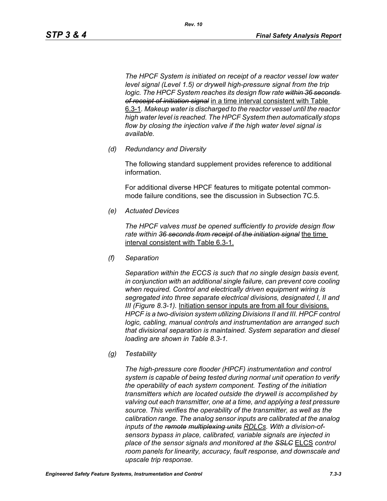*The HPCF System is initiated on receipt of a reactor vessel low water level signal (Level 1.5) or drywell high-pressure signal from the trip logic. The HPCF System reaches its design flow rate within 36 seconds of receipt of initiation signal* in a time interval consistent with Table 6.3-1*. Makeup water is discharged to the reactor vessel until the reactor high water level is reached. The HPCF System then automatically stops flow by closing the injection valve if the high water level signal is available.*

*(d) Redundancy and Diversity*

The following standard supplement provides reference to additional information.

For additional diverse HPCF features to mitigate potental commonmode failure conditions, see the discussion in Subsection 7C.5.

*(e) Actuated Devices*

*The HPCF valves must be opened sufficiently to provide design flow rate within 36 seconds from receipt of the initiation signal* the time interval consistent with Table 6.3-1.

*(f) Separation*

*Separation within the ECCS is such that no single design basis event, in conjunction with an additional single failure, can prevent core cooling when required. Control and electrically driven equipment wiring is segregated into three separate electrical divisions, designated I, II and III (Figure 8.3-1).* Initiation sensor inputs are from all four divisions. *HPCF is a two-division system utilizing Divisions II and III. HPCF control logic, cabling, manual controls and instrumentation are arranged such that divisional separation is maintained. System separation and diesel loading are shown in Table 8.3-1.*

*(g) Testability*

*The high-pressure core flooder (HPCF) instrumentation and control system is capable of being tested during normal unit operation to verify the operability of each system component. Testing of the initiation transmitters which are located outside the drywell is accomplished by valving out each transmitter, one at a time, and applying a test pressure source. This verifies the operability of the transmitter, as well as the calibration range. The analog sensor inputs are calibrated at the analog inputs of the remote multiplexing units RDLCs. With a division-ofsensors bypass in place, calibrated, variable signals are injected in place of the sensor signals and monitored at the SSLC* ELCS *control room panels for linearity, accuracy, fault response, and downscale and upscale trip response.*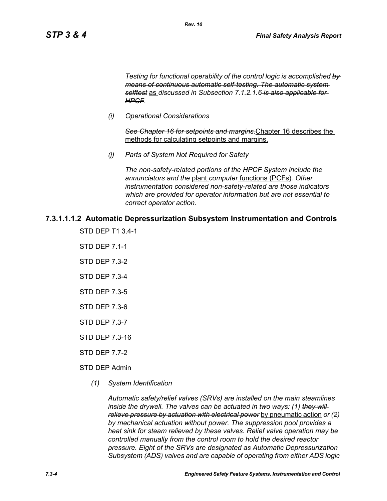*Testing for functional operability of the control logic is accomplished by means of continuous automatic self-testing. The automatic system selftest* as *discussed in Subsection 7.1.2.1.6 is also applicable for HPCF.*

*(i) Operational Considerations*

*See Chapter 16 for setpoints and margins.*Chapter 16 describes the methods for calculating setpoints and margins.

*(j) Parts of System Not Required for Safety*

*Rev. 10*

*The non-safety-related portions of the HPCF System include the annunciators and the* plant *computer* functions (PCFs)*. Other instrumentation considered non-safety-related are those indicators which are provided for operator information but are not essential to correct operator action.*

#### **7.3.1.1.1.2 Automatic Depressurization Subsystem Instrumentation and Controls**

- STD DEP T1 3.4-1
- STD DEP 7.1-1
- STD DEP 7.3-2
- STD DEP 7.3-4
- STD DEP 7.3-5
- STD DEP 7.3-6
- STD DEP 7.3-7
- STD DEP 7.3-16
- STD DEP 7.7-2
- STD DEP Admin
	- *(1) System Identification*

*Automatic safety/relief valves (SRVs) are installed on the main steamlines inside the drywell. The valves can be actuated in two ways: (1) they will relieve pressure by actuation with electrical power* by pneumatic action *or (2) by mechanical actuation without power. The suppression pool provides a heat sink for steam relieved by these valves. Relief valve operation may be controlled manually from the control room to hold the desired reactor pressure. Eight of the SRVs are designated as Automatic Depressurization Subsystem (ADS) valves and are capable of operating from either ADS logic*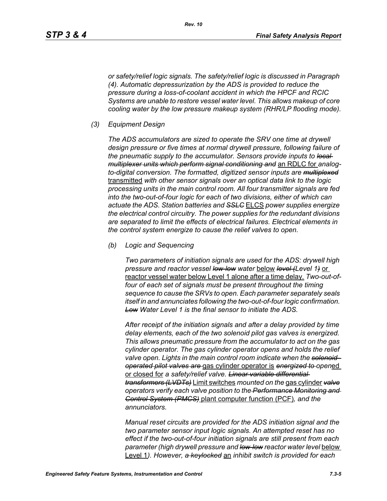*or safety/relief logic signals. The safety/relief logic is discussed in Paragraph (4). Automatic depressurization by the ADS is provided to reduce the pressure during a loss-of-coolant accident in which the HPCF and RCIC Systems are unable to restore vessel water level. This allows makeup of core cooling water by the low pressure makeup system (RHR/LP flooding mode).*

*(3) Equipment Design*

*The ADS accumulators are sized to operate the SRV one time at drywell design pressure or five times at normal drywell pressure, following failure of the pneumatic supply to the accumulator. Sensors provide inputs to local multiplexer units which perform signal conditioning and* an RDLC for *analogto-digital conversion. The formatted, digitized sensor inputs are multiplexed* transmitted *with other sensor signals over an optical data link to the logic processing units in the main control room. All four transmitter signals are fed into the two-out-of-four logic for each of two divisions, either of which can actuate the ADS. Station batteries and SSLC* ELCS *power supplies energize the electrical control circuitry. The power supplies for the redundant divisions are separated to limit the effects of electrical failures. Electrical elements in the control system energize to cause the relief valves to open.*

*(b) Logic and Sequencing*

*Two parameters of initiation signals are used for the ADS: drywell high pressure and reactor vessel low-low water* below *level (Level 1)* or reactor vessel water below Level 1 alone after a time delay*. Two-out-offour of each set of signals must be present throughout the timing sequence to cause the SRVs to open. Each parameter separately seals itself in and annunciates following the two-out-of-four logic confirmation. Low Water Level 1 is the final sensor to initiate the ADS.*

*After receipt of the initiation signals and after a delay provided by time delay elements, each of the two solenoid pilot gas valves is energized. This allows pneumatic pressure from the accumulator to act on the gas cylinder operator. The gas cylinder operator opens and holds the relief valve open. Lights in the main control room indicate when the solenoidoperated pilot valves are* gas cylinder operator is *energized to open*ed or closed for *a safety/relief valve. Linear variable differential transformers (LVDTs)* Limit switches *mounted on the* gas cylinder *valve operators verify each valve position to the Performance Monitoring and Control System (PMCS)* plant computer function (PCF)*, and the annunciators.*

*Manual reset circuits are provided for the ADS initiation signal and the two parameter sensor input logic signals. An attempted reset has no effect if the two-out-of-four initiation signals are still present from each parameter (high drywell pressure and low-low reactor water level* below Level 1*). However, a keylocked* an *inhibit switch is provided for each*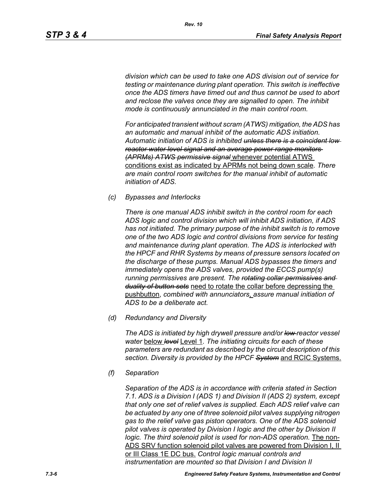*division which can be used to take one ADS division out of service for testing or maintenance during plant operation. This switch is ineffective once the ADS timers have timed out and thus cannot be used to abort and reclose the valves once they are signalled to open. The inhibit mode is continuously annunciated in the main control room.*

*For anticipated transient without scram (ATWS) mitigation, the ADS has an automatic and manual inhibit of the automatic ADS initiation. Automatic initiation of ADS is inhibited unless there is a coincident low reactor water level signal and an average power range monitors (APRMs) ATWS permissive signal* whenever potential ATWS conditions exist as indicated by APRMs not being down scale*. There are main control room switches for the manual inhibit of automatic initiation of ADS.*

*(c) Bypasses and Interlocks*

*There is one manual ADS inhibit switch in the control room for each ADS logic and control division which will inhibit ADS initiation, if ADS has not initiated. The primary purpose of the inhibit switch is to remove one of the two ADS logic and control divisions from service for testing and maintenance during plant operation. The ADS is interlocked with the HPCF and RHR Systems by means of pressure sensors located on the discharge of these pumps. Manual ADS bypasses the timers and immediately opens the ADS valves, provided the ECCS pump(s) running permissives are present. The rotating collar permissives and duality of button sets* need to rotate the collar before depressing the pushbutton, *combined with annunciators*, *assure manual initiation of ADS to be a deliberate act.*

*(d) Redundancy and Diversity*

*The ADS is initiated by high drywell pressure and/or low reactor vessel water* below *level* Level 1*. The initiating circuits for each of these parameters are redundant as described by the circuit description of this section. Diversity is provided by the HPCF System* and RCIC Systems.

*(f) Separation*

*Separation of the ADS is in accordance with criteria stated in Section 7.1. ADS is a Division I (ADS 1) and Division II (ADS 2) system, except that only one set of relief valves is supplied. Each ADS relief valve can be actuated by any one of three solenoid pilot valves supplying nitrogen gas to the relief valve gas piston operators. One of the ADS solenoid pilot valves is operated by Division I logic and the other by Division II logic. The third solenoid pilot is used for non-ADS operation.* The non-ADS SRV function solenoid pilot valves are powered from Division I, II or III Class 1E DC bus. *Control logic manual controls and instrumentation are mounted so that Division I and Division II*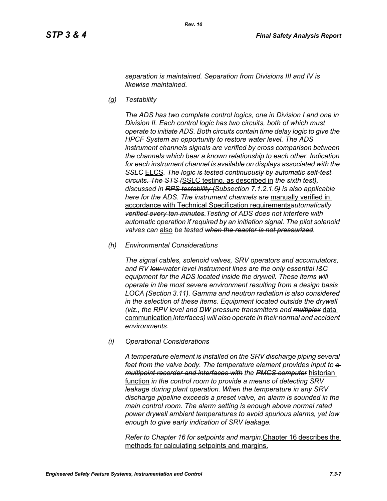*separation is maintained. Separation from Divisions III and IV is likewise maintained.*

*(g) Testability*

*The ADS has two complete control logics, one in Division I and one in Division II. Each control logic has two circuits, both of which must operate to initiate ADS. Both circuits contain time delay logic to give the HPCF System an opportunity to restore water level. The ADS instrument channels signals are verified by cross comparison between the channels which bear a known relationship to each other. Indication for each instrument channel is available on displays associated with the*  **SSLC** ELCS. The logic is tested continuously by automatic self-test*circuits. The STS (*SSLC testing, as described in *the sixth test), discussed in RPS testability (Subsection 7.1.2.1.6) is also applicable here for the ADS. The instrument channels are* manually verified in accordance with Technical Specification requirements*automatically verified every ten minutes.Testing of ADS does not interfere with automatic operation if required by an initiation signal. The pilot solenoid valves can* also *be tested when the reactor is not pressurized.*

*(h) Environmental Considerations*

*The signal cables, solenoid valves, SRV operators and accumulators, and RV low-water level instrument lines are the only essential I&C equipment for the ADS located inside the drywell. These items will operate in the most severe environment resulting from a design basis LOCA (Section 3.11). Gamma and neutron radiation is also considered in the selection of these items. Equipment located outside the drywell (viz., the RPV level and DW pressure transmitters and multiplex* data communication *interfaces) will also operate in their normal and accident environments.*

*(i) Operational Considerations*

*A temperature element is installed on the SRV discharge piping several*  feet from the valve body. The temperature element provides input to  $a$ *multipoint recorder and interfaces with the PMCS computer* historian function *in the control room to provide a means of detecting SRV leakage during plant operation. When the temperature in any SRV discharge pipeline exceeds a preset valve, an alarm is sounded in the main control room. The alarm setting is enough above normal rated power drywell ambient temperatures to avoid spurious alarms, yet low enough to give early indication of SRV leakage.*

*Refer to Chapter 16 for setpoints and margin.*Chapter 16 describes the methods for calculating setpoints and margins.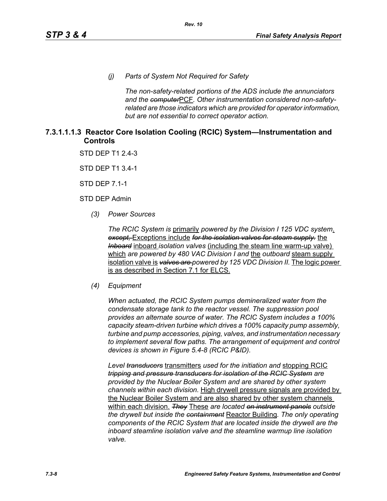*(j) Parts of System Not Required for Safety*

*The non-safety-related portions of the ADS include the annunciators and the computer*PCF*. Other instrumentation considered non-safetyrelated are those indicators which are provided for operator information, but are not essential to correct operator action.*

#### **7.3.1.1.1.3 Reactor Core Isolation Cooling (RCIC) System—Instrumentation and Controls**

STD DEP T1 2.4-3

STD DEP T1 3.4-1

STD DEP 7.1-1

STD DEP Admin

*(3) Power Sources*

*The RCIC System is* primarily *powered by the Division I 125 VDC system*. *except,* Exceptions include *for the isolation valves for steam supply.* the *Inboard* inboard *isolation valves* (including the steam line warm-up valve) which *are powered by 480 VAC Division I and* the *outboard* steam supply isolation valve is *valves are powered by 125 VDC Division II.* The logic power is as described in Section 7.1 for ELCS.

#### *(4) Equipment*

*When actuated, the RCIC System pumps demineralized water from the condensate storage tank to the reactor vessel. The suppression pool provides an alternate source of water. The RCIC System includes a 100% capacity steam-driven turbine which drives a 100% capacity pump assembly, turbine and pump accessories, piping, valves, and instrumentation necessary to implement several flow paths. The arrangement of equipment and control devices is shown in Figure 5.4-8 (RCIC P&ID).*

*Level transducers* transmitters *used for the initiation and* stopping RCIC *tripping and pressure transducers for isolation of the RCIC System are provided by the Nuclear Boiler System and are shared by other system channels within each division.* High drywell pressure signals are provided by the Nuclear Boiler System and are also shared by other system channels within each division. *They* These *are located on instrument panels outside the drywell but inside the containment* Reactor Building*. The only operating components of the RCIC System that are located inside the drywell are the inboard steamline isolation valve and the steamline warmup line isolation valve.*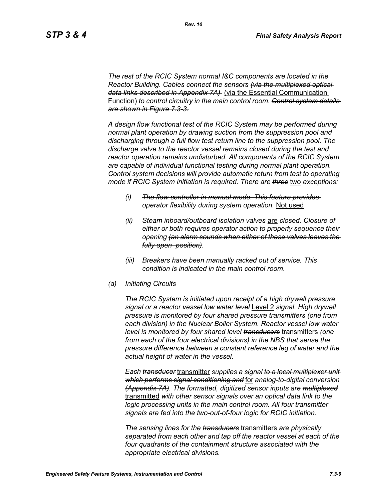*The rest of the RCIC System normal I&C components are located in the Reactor Building. Cables connect the sensors (via the multiplexed optical data links described in Appendix 7A)* (via the Essential Communication Function) *to control circuitry in the main control room. Control system details are shown in Figure 7.3-3.*

*A design flow functional test of the RCIC System may be performed during normal plant operation by drawing suction from the suppression pool and discharging through a full flow test return line to the suppression pool. The discharge valve to the reactor vessel remains closed during the test and reactor operation remains undisturbed. All components of the RCIC System are capable of individual functional testing during normal plant operation. Control system decisions will provide automatic return from test to operating mode if RCIC System initiation is required. There are three* two *exceptions:*

- *(i) The flow controller in manual mode. This feature provides operator flexibility during system operation.* Not used
- *(ii) Steam inboard/outboard isolation valves* are *closed. Closure of either or both requires operator action to properly sequence their opening (an alarm sounds when either of these valves leaves the fully open position).*
- *(iii) Breakers have been manually racked out of service. This condition is indicated in the main control room.*
- *(a) Initiating Circuits*

*The RCIC System is initiated upon receipt of a high drywell pressure signal or a reactor vessel low water level* Level 2 *signal. High drywell pressure is monitored by four shared pressure transmitters (one from each division) in the Nuclear Boiler System. Reactor vessel low water level is monitored by four shared level transducers* transmitters *(one from each of the four electrical divisions) in the NBS that sense the pressure difference between a constant reference leg of water and the actual height of water in the vessel.*

*Each transducer* transmitter *supplies a signal to a local multiplexer unit which performs signal conditioning and* for *analog-to-digital conversion (Appendix 7A). The formatted, digitized sensor inputs are multiplexed* transmitted *with other sensor signals over an optical data link to the logic processing units in the main control room. All four transmitter signals are fed into the two-out-of-four logic for RCIC initiation.*

*The sensing lines for the transducers* transmitters *are physically separated from each other and tap off the reactor vessel at each of the four quadrants of the containment structure associated with the appropriate electrical divisions.*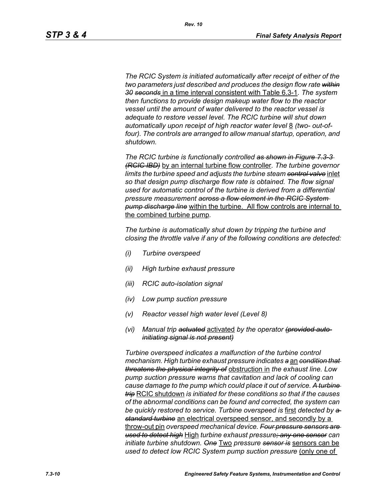*The RCIC System is initiated automatically after receipt of either of the two parameters just described and produces the design flow rate within 30 seconds* in a time interval consistent with Table 6.3-1*. The system then functions to provide design makeup water flow to the reactor vessel until the amount of water delivered to the reactor vessel is adequate to restore vessel level. The RCIC turbine will shut down*  automatically upon receipt of high reactor water level 8 *(two- out-of*four). The controls are arranged to allow manual startup, operation, and *shutdown.*

*The RCIC turbine is functionally controlled as shown in Figure 7.3-3 (RCIC IBD)* by an internal turbine flow controller*. The turbine governor limits the turbine speed and adjusts the turbine steam control valve* inlet *so that design pump discharge flow rate is obtained. The flow signal used for automatic control of the turbine is derived from a differential pressure measurement across a flow element in the RCIC System pump discharge line* within the turbine. All flow controls are internal to the combined turbine pump*.*

*The turbine is automatically shut down by tripping the turbine and closing the throttle valve if any of the following conditions are detected:*

- *(i) Turbine overspeed*
- *(ii) High turbine exhaust pressure*
- *(iii) RCIC auto-isolation signal*
- *(iv) Low pump suction pressure*
- *(v) Reactor vessel high water level (Level 8)*
- *(vi) Manual trip actuated* activated *by the operator (provided autoinitiating signal is not present)*

*Turbine overspeed indicates a malfunction of the turbine control mechanism. High turbine exhaust pressure indicates a* an *condition that threatens the physical integrity of* obstruction in *the exhaust line. Low pump suction pressure warns that cavitation and lack of cooling can cause damage to the pump which could place it out of service. A turbine trip* RCIC shutdown *is initiated for these conditions so that if the causes of the abnormal conditions can be found and corrected, the system can be quickly restored to service. Turbine overspeed is* first *detected by a standard turbine* an electrical overspeed sensor, and secondly by a throw-out pin *overspeed mechanical device. Four pressure sensors are used to detect high* High *turbine exhaust pressure; any one sensor can initiate turbine shutdown. One* Two *pressure sensor is* sensors can be *used to detect low RCIC System pump suction pressure (only one of*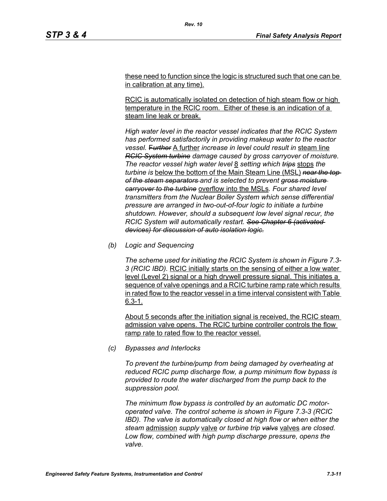these need to function since the logic is structured such that one can be in calibration at any time).

RCIC is automatically isolated on detection of high steam flow or high temperature in the RCIC room. Either of these is an indication of a steam line leak or break.

*High water level in the reactor vessel indicates that the RCIC System has performed satisfactorily in providing makeup water to the reactor vessel.* F*urther* A further *increase in level could result in* steam line *RCIC System turbine damage caused by gross carryover of moisture. The reactor vessel high water level* 8 *setting which trips* stops *the turbine is* below the bottom of the Main Steam Line (MSL) *near the top of the steam separators and is selected to prevent gross moisture carryover to the turbine* overflow into the MSLs*. Four shared level transmitters from the Nuclear Boiler System which sense differential pressure are arranged in two-out-of-four logic to initiate a turbine shutdown. However, should a subsequent low level signal recur, the RCIC System will automatically restart. See Chapter 6 (activated devices) for discussion of auto isolation logic.*

*(b) Logic and Sequencing*

*The scheme used for initiating the RCIC System is shown in Figure 7.3- 3 (RCIC IBD).* RCIC initially starts on the sensing of either a low water level (Level 2) signal or a high drywell pressure signal. This initiates a sequence of valve openings and a RCIC turbine ramp rate which results in rated flow to the reactor vessel in a time interval consistent with Table 6.3-1.

About 5 seconds after the initiation signal is received, the RCIC steam admission valve opens. The RCIC turbine controller controls the flow ramp rate to rated flow to the reactor vessel.

*(c) Bypasses and Interlocks*

*To prevent the turbine/pump from being damaged by overheating at reduced RCIC pump discharge flow, a pump minimum flow bypass is provided to route the water discharged from the pump back to the suppression pool.*

*The minimum flow bypass is controlled by an automatic DC motoroperated valve. The control scheme is shown in Figure 7.3-3 (RCIC IBD). The valve is automatically closed at high flow or when either the steam* admission *supply* valve *or turbine trip valvs* valves *are closed. Low flow, combined with high pump discharge pressure, opens the valve.*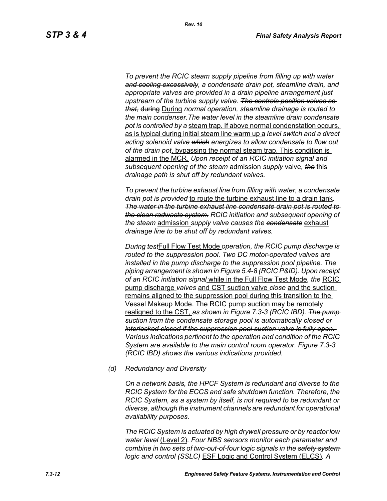*To prevent the RCIC steam supply pipeline from filling up with water and cooling excessively, a condensate drain pot, steamline drain, and appropriate valves are provided in a drain pipeline arrangement just upstream of the turbine supply valve. The controls position valves so that,* during During *normal operation, steamline drainage is routed to the main condenser.The water level in the steamline drain condensate pot is controlled by a* steam trap. If above normal condenstation occurs, as is typical during initial steam line warm up a *level switch and a direct acting solenoid valve which energizes to allow condensate to flow out of the drain pot*, bypassing the normal steam trap. This condition is alarmed in the MCR. *Upon receipt of an RCIC initiation signal and subsequent opening of the steam* admission *supply* valve*, the* this *drainage path is shut off by redundant valves.*

*To prevent the turbine exhaust line from filling with water, a condensate drain pot is provided* to route the turbine exhaust line to a drain tank*. The water in the turbine exhaust line condensate drain pot is routed to the clean radwaste system. RCIC initiation and subsequent opening of the steam* admission *supply valve causes the condensate* exhaust *drainage line to be shut off by redundant valves.*

*During test*Full Flow Test Mode *operation, the RCIC pump discharge is routed to the suppression pool. Two DC motor-operated valves are installed in the pump discharge to the suppression pool pipeline. The piping arrangement is shown in Figure 5.4-8 (RCIC P&ID). Upon receipt of an RCIC initiation signal* while in the Full Flow Test Mode*, the* RCIC pump discharge *valves* and CST suction valve *close* and the suction remains aligned to the suppression pool during this transition to the Vessel Makeup Mode. The RCIC pump suction may be remotely realigned to the CST, *as shown in Figure 7.3-3 (RCIC IBD). The pump suction from the condensate storage pool is automatically closed or interlocked closed if the suppression pool suction valve is fully open. Various indications pertinent to the operation and condition of the RCIC System are available to the main control room operator. Figure 7.3-3 (RCIC IBD) shows the various indications provided.*

*(d) Redundancy and Diversity*

*On a network basis, the HPCF System is redundant and diverse to the RCIC System for the ECCS and safe shutdown function. Therefore, the RCIC System, as a system by itself, is not required to be redundant or diverse, although the instrument channels are redundant for operational availability purposes.*

*The RCIC System is actuated by high drywell pressure or by reactor low water level* (Level 2)*. Four NBS sensors monitor each parameter and combine in two sets of two-out-of-four logic signals in the safety system logic and control (SSLC)* ESF Logic and Control System (ELCS)*. A*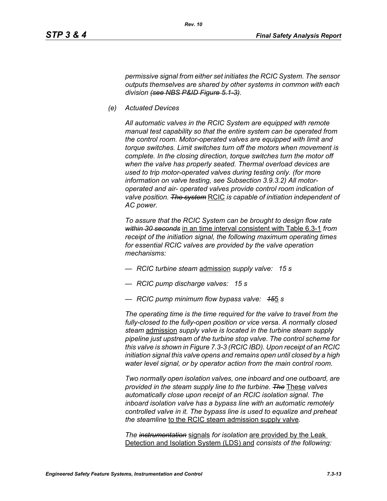*permissive signal from either set initiates the RCIC System. The sensor outputs themselves are shared by other systems in common with each division (see NBS P&ID Figure 5.1-3).*

*(e) Actuated Devices*

*All automatic valves in the RCIC System are equipped with remote manual test capability so that the entire system can be operated from the control room. Motor-operated valves are equipped with limit and torque switches. Limit switches turn off the motors when movement is complete. In the closing direction, torque switches turn the motor off when the valve has properly seated. Thermal overload devices are used to trip motor-operated valves during testing only. (for more information on valve testing, see Subsection 3.9.3.2) All motoroperated and air- operated valves provide control room indication of valve position. The system* RCIC *is capable of initiation independent of AC power.*

*To assure that the RCIC System can be brought to design flow rate within 30 seconds* in an time interval consistent with Table 6.3-1 *from receipt of the initiation signal, the following maximum operating times for essential RCIC valves are provided by the valve operation mechanisms:*

- *RCIC turbine steam* admission *supply valve: 15 s*
- *RCIC pump discharge valves: 15 s*
- *RCIC pump minimum flow bypass valve: 15*5 *s*

*The operating time is the time required for the valve to travel from the fully-closed to the fully-open position or vice versa. A normally closed steam* admission *supply valve is located in the turbine steam supply pipeline just upstream of the turbine stop valve. The control scheme for this valve is shown in Figure 7.3-3 (RCIC IBD). Upon receipt of an RCIC initiation signal this valve opens and remains open until closed by a high water level signal, or by operator action from the main control room.*

*Two normally open isolation valves, one inboard and one outboard, are provided in the steam supply line to the turbine. The* These *valves automatically close upon receipt of an RCIC isolation signal. The inboard isolation valve has a bypass line with an automatic remotely controlled valve in it. The bypass line is used to equalize and preheat the steamline* to the RCIC steam admission supply valve*.*

*The instrumentation* signals *for isolation* are provided by the Leak Detection and Isolation System (LDS) and *consists of the following:*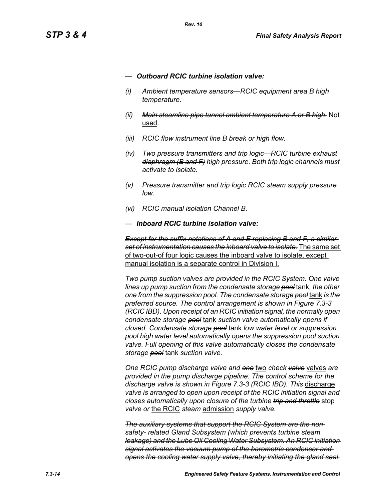- *— Outboard RCIC turbine isolation valve:*
- *(i) Ambient temperature sensors—RCIC equipment area B high temperature.*
- *(ii) Main steamline pipe tunnel ambient temperature A or B high.* Not used*.*
- *(iii) RCIC flow instrument line B break or high flow.*
- *(iv) Two pressure transmitters and trip logic—RCIC turbine exhaust diaphragm (B and F) high pressure. Both trip logic channels must activate to isolate.*
- *(v) Pressure transmitter and trip logic RCIC steam supply pressure low.*
- *(vi) RCIC manual isolation Channel B.*
- *— Inboard RCIC turbine isolation valve:*

*Except for the suffix notations of A and E replacing B and F, a similar set of instrumentation causes the inboard valve to isolate.* The same set of two-out-of four logic causes the inboard valve to isolate, except manual isolation is a separate control in Division I.

*Two pump suction valves are provided in the RCIC System. One valve lines up pump suction from the condensate storage pool* tank*, the other one from the suppression pool. The condensate storage pool* tank *is the preferred source. The control arrangement is shown in Figure 7.3-3 (RCIC IBD). Upon receipt of an RCIC initiation signal, the normally open condensate storage pool* tank *suction valve automatically opens if closed. Condensate storage pool* tank *low water level or suppression pool high water level automatically opens the suppression pool suction valve. Full opening of this valve automatically closes the condensate storage pool* tank *suction valve.*

*One RCIC pump discharge valve and one* two *check valve* valves *are provided in the pump discharge pipeline. The control scheme for the discharge valve is shown in Figure 7.3-3 (RCIC IBD). This* discharge *valve is arranged to open upon receipt of the RCIC initiation signal and closes automatically upon closure of the turbine trip and throttle* stop *valve or* the RCIC *steam* admission *supply valve.*

*The auxiliary systems that support the RCIC System are the nonsafety- related Gland Subsystem (which prevents turbine steam leakage) and the Lube Oil Cooling Water Subsystem. An RCIC initiation signal activates the vacuum pump of the barometric condenser and opens the cooling water supply valve, thereby initiating the gland seal*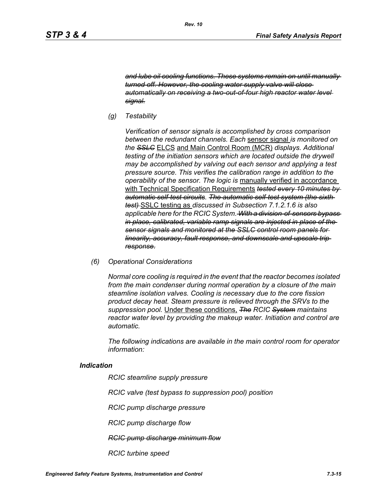*and lube oil cooling functions. These systems remain on until manually turned off. However, the cooling water supply valve will close automatically on receiving a two-out-of-four high reactor water level signal.*

*(g) Testability*

*Verification of sensor signals is accomplished by cross comparison between the redundant channels. Each* sensor signal *is monitored on the SSLC* ELCS and Main Control Room (MCR) *displays. Additional testing of the initiation sensors which are located outside the drywell may be accomplished by valving out each sensor and applying a test pressure source. This verifies the calibration range in addition to the operability of the sensor. The logic is* manually verified in accordance with Technical Specification Requirements *tested every 10 minutes by automatic self-test circuits. The automatic self-test system (the sixth test)* SSLC testing as *discussed in Subsection 7.1.2.1.6 is also applicable here for the RCIC System. With a division-of-sensors bypass in place, calibrated, variable ramp signals are injected in place of the sensor signals and monitored at the SSLC control room panels for linearity, accuracy, fault response, and downscale and upscale trip response.*

*(6) Operational Considerations*

*Normal core cooling is required in the event that the reactor becomes isolated from the main condenser during normal operation by a closure of the main steamline isolation valves. Cooling is necessary due to the core fission product decay heat. Steam pressure is relieved through the SRVs to the suppression pool.* Under these conditions, *The RCIC System maintains reactor water level by providing the makeup water. Initiation and control are automatic.*

*The following indications are available in the main control room for operator information:*

#### *Indication*

*RCIC steamline supply pressure*

*RCIC valve (test bypass to suppression pool) position*

*RCIC pump discharge pressure*

*RCIC pump discharge flow*

*RCIC pump discharge minimum flow*

*RCIC turbine speed*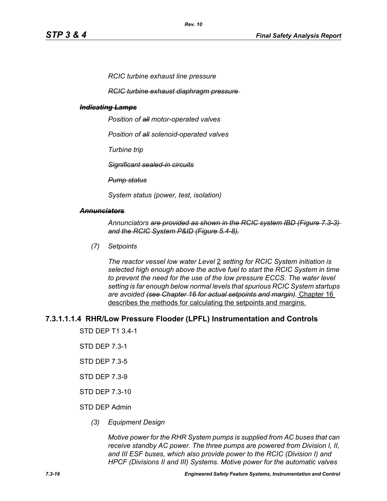*RCIC turbine exhaust line pressure*

*RCIC turbine exhaust diaphragm pressure* 

#### *Indicating Lamps*

*Position of all motor-operated valves*

*Position of all solenoid-operated valves*

*Turbine trip*

*Significant sealed-in circuits*

*Pump status*

*System status (power, test, isolation)*

#### *Annunciators*

*Annunciators are provided as shown in the RCIC system IBD (Figure 7.3-3) and the RCIC System P&ID (Figure 5.4-8).*

*(7) Setpoints*

*The reactor vessel low water Level* 2 *setting for RCIC System initiation is selected high enough above the active fuel to start the RCIC System in time to prevent the need for the use of the low pressure ECCS. The water level setting is far enough below normal levels that spurious RCIC System startups are avoided (see Chapter 16 for actual setpoints and margin).* Chapter 16 describes the methods for calculating the setpoints and margins.

#### **7.3.1.1.1.4 RHR/Low Pressure Flooder (LPFL) Instrumentation and Controls**

STD DEP T1 3.4-1

- STD DEP 7.3-1
- STD DEP 7.3-5
- STD DEP 7.3-9
- STD DEP 7.3-10

#### STD DEP Admin

*(3) Equipment Design*

*Motive power for the RHR System pumps is supplied from AC buses that can receive standby AC power. The three pumps are powered from Division I, II, and III ESF buses, which also provide power to the RCIC (Division I) and HPCF (Divisions II and III) Systems. Motive power for the automatic valves*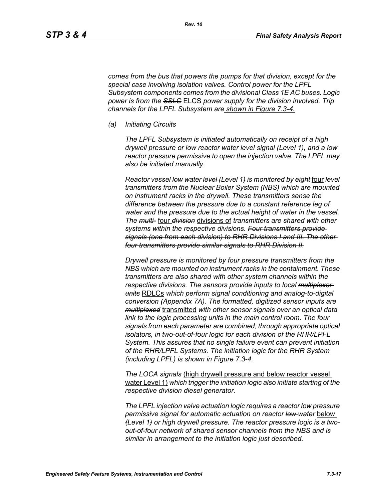*comes from the bus that powers the pumps for that division, except for the special case involving isolation valves. Control power for the LPFL Subsystem components comes from the divisional Class 1E AC buses. Logic power is from the SSLC* ELCS *power supply for the division involved. Trip channels for the LPFL Subsystem are shown in Figure 7.3-4.*

*(a) Initiating Circuits*

*The LPFL Subsystem is initiated automatically on receipt of a high drywell pressure or low reactor water level signal (Level 1), and a low reactor pressure permissive to open the injection valve. The LPFL may also be initiated manually.*

*Reactor vessel low water level (Level 1) is monitored by eight* four *level transmitters from the Nuclear Boiler System (NBS) which are mounted on instrument racks in the drywell. These transmitters sense the difference between the pressure due to a constant reference leg of water and the pressure due to the actual height of water in the vessel. The multi-* four *division* divisions of *transmitters are shared with other systems within the respective divisions. Four transmitters provide signals (one from each division) to RHR Divisions I and III. The other four transmitters provide similar signals to RHR Division II.*

*Drywell pressure is monitored by four pressure transmitters from the NBS which are mounted on instrument racks in the containment. These transmitters are also shared with other system channels within the respective divisions. The sensors provide inputs to local multiplexer units* RDLCs *which perform signal conditioning and analog-to-digital conversion (Appendix 7A). The formatted, digitized sensor inputs are multiplexed* transmitted *with other sensor signals over an optical data link to the logic processing units in the main control room. The four signals from each parameter are combined, through appropriate optical isolators, in two-out-of-four logic for each division of the RHR/LPFL System. This assures that no single failure event can prevent initiation of the RHR/LPFL Systems. The initiation logic for the RHR System (including LPFL) is shown in Figure 7.3-4.*

*The LOCA signals* (high drywell pressure and below reactor vessel water Level 1) *which trigger the initiation logic also initiate starting of the respective division diesel generator.*

*The LPFL injection valve actuation logic requires a reactor low pressure permissive signal for automatic actuation on reactor low water* below *(Level 1) or high drywell pressure. The reactor pressure logic is a twoout-of-four network of shared sensor channels from the NBS and is similar in arrangement to the initiation logic just described.*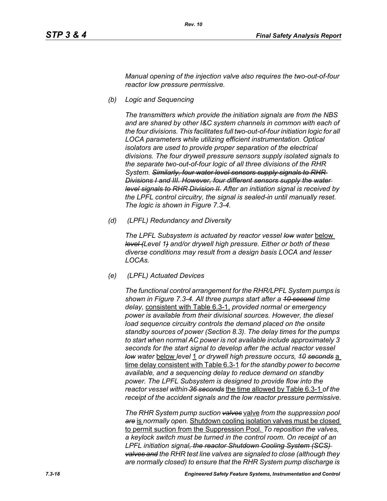*Manual opening of the injection valve also requires the two-out-of-four reactor low pressure permissive.*

*(b) Logic and Sequencing*

*The transmitters which provide the initiation signals are from the NBS and are shared by other I&C system channels in common with each of the four divisions. This facilitates full two-out-of-four initiation logic for all LOCA parameters while utilizing efficient instrumentation. Optical isolators are used to provide proper separation of the electrical divisions. The four drywell pressure sensors supply isolated signals to the separate two-out-of-four logic of all three divisions of the RHR System. Similarly, four water level sensors supply signals to RHR Divisions I and III. However, four different sensors supply the water level signals to RHR Division II. After an initiation signal is received by the LPFL control circuitry, the signal is sealed-in until manually reset. The logic is shown in Figure 7.3-4.*

*(d) (LPFL) Redundancy and Diversity*

The LPFL Subsystem is actuated by reactor vessel low water below *level (Level 1) and/or drywell high pressure. Either or both of these diverse conditions may result from a design basis LOCA and lesser LOCAs.*

*(e) (LPFL) Actuated Devices*

*The functional control arrangement for the RHR/LPFL System pumps is shown in Figure 7.3-4. All three pumps start after a 10 second time delay,* consistent with Table 6.3-1, *provided normal or emergency power is available from their divisional sources. However, the diesel*  load sequence circuitry controls the demand placed on the onsite *standby sources of power (Section 8.3). The delay times for the pumps to start when normal AC power is not available include approximately 3 seconds for the start signal to develop after the actual reactor vessel low water* below *level* 1 *or drywell high pressure occurs, 10 seconds* a time delay consistent with Table 6.3-1 *for the standby power to become available, and a sequencing delay to reduce demand on standby power. The LPFL Subsystem is designed to provide flow into the reactor vessel within 36 seconds* the time allowed by Table 6.3-1 *of the receipt of the accident signals and the low reactor pressure permissive.*

*The RHR System pump suction valves* valve *from the suppression pool are* is *normally open.* Shutdown cooling isolation valves must be closed to permit suction from the Suppression Pool. *To reposition the valves, a keylock switch must be turned in the control room. On receipt of an LPFL initiation signal, the reactor Shutdown Cooling System (SCS) valves and the RHR test line valves are signaled to close (although they are normally closed) to ensure that the RHR System pump discharge is*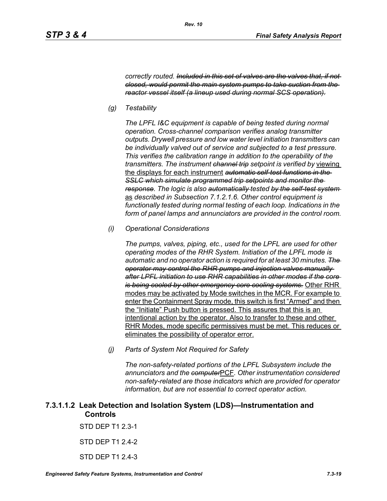*correctly routed. Included in this set of valves are the valves that, if not closed, would permit the main system pumps to take suction from the reactor vessel itself (a lineup used during normal SCS operation).*

*(g) Testability*

*The LPFL I&C equipment is capable of being tested during normal operation. Cross-channel comparison verifies analog transmitter outputs. Drywell pressure and low water level initiation transmitters can be individually valved out of service and subjected to a test pressure. This verifies the calibration range in addition to the operability of the transmitters. The instrument channel trip setpoint is verified by* viewing the displays for each instrument *automatic self-test functions in the SSLC which simulate programmed trip setpoints and monitor the response. The logic is also automatically tested by the self-test system*  as *described in Subsection 7.1.2.1.6. Other control equipment is functionally tested during normal testing of each loop. Indications in the form of panel lamps and annunciators are provided in the control room.*

*(i) Operational Considerations*

*The pumps, valves, piping, etc., used for the LPFL are used for other operating modes of the RHR System. Initiation of the LPFL mode is automatic and no operator action is required for at least 30 minutes. The operator may control the RHR pumps and injection valves manually after LPFL initiation to use RHR capabilities in other modes if the core is being cooled by other emergency core cooling systems.* Other RHR modes may be activated by Mode switches in the MCR. For example to enter the Containment Spray mode, this switch is first "Armed" and then the "Initiate" Push button is pressed. This assures that this is an intentional action by the operator. Also to transfer to these and other RHR Modes, mode specific permissives must be met. This reduces or eliminates the possibility of operator error.

*(j) Parts of System Not Required for Safety*

*The non-safety-related portions of the LPFL Subsystem include the annunciators and the computer*PCF*. Other instrumentation considered non-safety-related are those indicators which are provided for operator information, but are not essential to correct operator action.*

# **7.3.1.1.2 Leak Detection and Isolation System (LDS)—Instrumentation and Controls**

STD DEP T1 2.3-1

STD DEP T1 2.4-2

STD DFP T1 2 4-3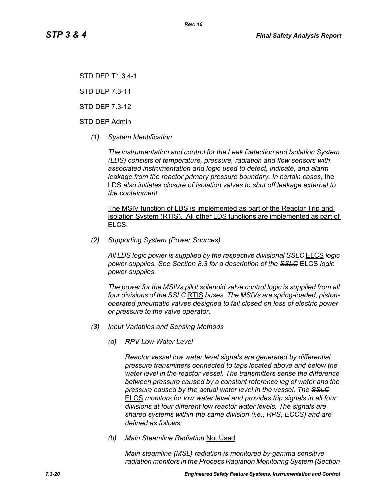STD DEP T1 3.4-1

STD DEP 7.3-11

STD DEP 7.3-12

STD DEP Admin

*(1) System Identification*

*The instrumentation and control for the Leak Detection and Isolation System (LDS) consists of temperature, pressure, radiation and flow sensors with associated instrumentation and logic used to detect, indicate, and alarm leakage from the reactor primary pressure boundary. In certain cases, the* LDS *also initiate*s *closure of isolation valves to shut off leakage external to the containment.*

The MSIV function of LDS is implemented as part of the Reactor Trip and Isolation System (RTIS). All other LDS functions are implemented as part of ELCS.

*(2) Supporting System (Power Sources)*

*All LDS logic power is supplied by the respective divisional SSLC* ELCS *logic power supplies. See Section 8.3 for a description of the SSLC* ELCS *logic power supplies.*

*The power for the MSIVs pilot solenoid valve control logic is supplied from all four divisions of the SSLC* RTIS *buses. The MSIVs are spring-loaded, pistonoperated pneumatic valves designed to fail closed on loss of electric power or pressure to the valve operator.*

- *(3) Input Variables and Sensing Methods*
	- *(a) RPV Low Water Level*

*Reactor vessel low water level signals are generated by differential pressure transmitters connected to taps located above and below the water level in the reactor vessel. The transmitters sense the difference between pressure caused by a constant reference leg of water and the pressure caused by the actual water level in the vessel. The SSLC* ELCS *monitors for low water level and provides trip signals in all four divisions at four different low reactor water levels. The signals are shared systems within the same division (i.e., RPS, ECCS) and are defined as follows:*

*(b) Main Steamline Radiation* Not Used

*Main steamline (MSL) radiation is monitored by gamma sensitive radiation monitors in the Process Radiation Monitoring System (Section*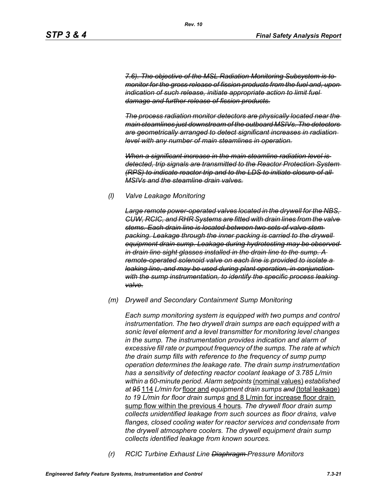*7.6). The objective of the MSL Radiation Monitoring Subsystem is to monitor for the gross release of fission products from the fuel and, upon indication of such release, initiate appropriate action to limit fuel damage and further release of fission products.*

*The process radiation monitor detectors are physically located near the main steamlines just downstream of the outboard MSIVs. The detectors are geometrically arranged to detect significant increases in radiation level with any number of main steamlines in operation.*

*When a significant increase in the main steamline radiation level is detected, trip signals are transmitted to the Reactor Protection System (RPS) to indicate reactor trip and to the LDS to initiate closure of all MSIVs and the steamline drain valves.*

#### *(l) Valve Leakage Monitoring*

*Large remote power-operated valves located in the drywell for the NBS, CUW, RCIC, and RHR Systems are fitted with drain lines from the valve stems. Each drain line is located between two sets of valve stem packing. Leakage through the inner packing is carried to the drywell equipment drain sump. Leakage during hydrotesting may be observed in drain line sight glasses installed in the drain line to the sump. A remote-operated solenoid valve on each line is provided to isolate a leaking line, and may be used during plant operation, in conjunction with the sump instrumentation, to identify the specific process leaking valve.*

#### *(m) Drywell and Secondary Containment Sump Monitoring*

*Each sump monitoring system is equipped with two pumps and control instrumentation. The two drywell drain sumps are each equipped with a sonic level element and a level transmitter for monitoring level changes in the sump. The instrumentation provides indication and alarm of excessive fill rate or pumpout frequency of the sumps. The rate at which the drain sump fills with reference to the frequency of sump pump operation determines the leakage rate. The drain sump instrumentation has a sensitivity of detecting reactor coolant leakage of 3.785 L/min within a 60-minute period. Alarm setpoints* (nominal values) *established at 95* 114 *L/min for* floor and *equipment drain sumps and* (total leakage) *to 19 L/min for floor drain sumps* and 8 L/min for increase floor drain sump flow within the previous 4 hours*. The drywell floor drain sump collects unidentified leakage from such sources as floor drains, valve flanges, closed cooling water for reactor services and condensate from the drywell atmosphere coolers. The drywell equipment drain sump collects identified leakage from known sources.*

*(r) RCIC Turbine Exhaust Line Diaphragm Pressure Monitors*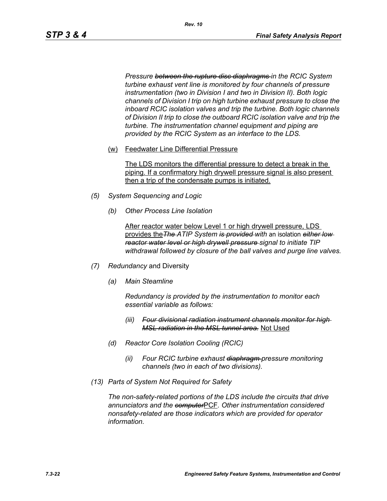*Pressure between the rupture disc diaphragms in the RCIC System turbine exhaust vent line is monitored by four channels of pressure instrumentation (two in Division I and two in Division II). Both logic channels of Division I trip on high turbine exhaust pressure to close the inboard RCIC isolation valves and trip the turbine. Both logic channels of Division II trip to close the outboard RCIC isolation valve and trip the turbine. The instrumentation channel equipment and piping are provided by the RCIC System as an interface to the LDS.*

(w) Feedwater Line Differential Pressure

The LDS monitors the differential pressure to detect a break in the piping. If a confirmatory high drywell pressure signal is also present then a trip of the condensate pumps is initiated.

- *(5) System Sequencing and Logic*
	- *(b) Other Process Line Isolation*

After reactor water below Level 1 or high drywell pressure, LDS provides the*The ATIP System is provided with* an isolation *either low reactor water level or high drywell pressure signal to initiate TIP withdrawal followed by closure of the ball valves and purge line valves.*

- *(7) Redundancy* and Diversity
	- *(a) Main Steamline*

*Redundancy is provided by the instrumentation to monitor each essential variable as follows:*

- *(iii) Four divisional radiation instrument channels monitor for high MSL radiation in the MSL tunnel area.* Not Used
- *(d) Reactor Core Isolation Cooling (RCIC)*
	- *(ii) Four RCIC turbine exhaust diaphragm pressure monitoring channels (two in each of two divisions).*
- *(13) Parts of System Not Required for Safety*

*The non-safety-related portions of the LDS include the circuits that drive annunciators and the computer*PCF*. Other instrumentation considered nonsafety-related are those indicators which are provided for operator information.*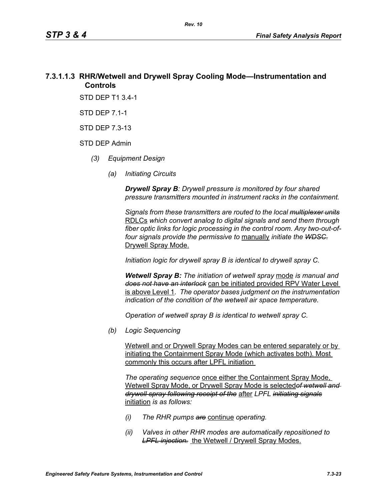# **7.3.1.1.3 RHR/Wetwell and Drywell Spray Cooling Mode—Instrumentation and Controls**

STD DEP T1 3.4-1

STD DEP 7.1-1

STD DEP 7.3-13

#### STD DEP Admin

- *(3) Equipment Design*
	- *(a) Initiating Circuits*

*Drywell Spray B: Drywell pressure is monitored by four shared pressure transmitters mounted in instrument racks in the containment.* 

*Signals from these transmitters are routed to the local multiplexer units* RDLCs *which convert analog to digital signals and send them through fiber optic links for logic processing in the control room. Any two-out-offour signals provide the permissive to* manually *initiate the WDSC.* Drywell Spray Mode.

*Initiation logic for drywell spray B is identical to drywell spray C.*

*Wetwell Spray B: The initiation of wetwell spray* mode *is manual and does not have an interlock* can be initiated provided RPV Water Level is above Level 1*. The operator bases judgment on the instrumentation indication of the condition of the wetwell air space temperature.*

*Operation of wetwell spray B is identical to wetwell spray C.*

*(b) Logic Sequencing*

Wetwell and or Drywell Spray Modes can be entered separately or by initiating the Containment Spray Mode (which activates both). Most commonly this occurs after LPFL initiation

*The operating sequence* once either the Containment Spray Mode, Wetwell Spray Mode, or Drywell Spray Mode is selected*of wetwell and drywell spray following receipt of the* after *LPFL initiating signals* initiation *is as follows:*

- *(i) The RHR pumps are* continue *operating.*
- *(ii) Valves in other RHR modes are automatically repositioned to*  **LPFL injection.** the Wetwell / Drywell Spray Modes.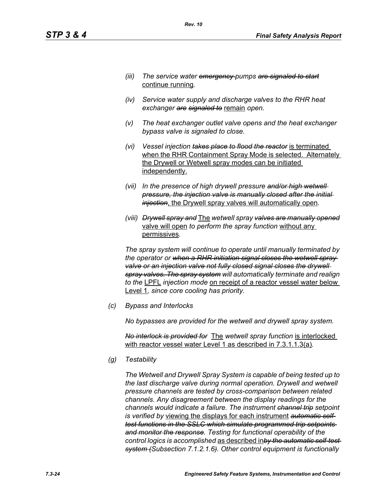- *(iii) The service water emergency pumps are signaled to start* continue running*.*
- *(iv) Service water supply and discharge valves to the RHR heat exchanger are signaled to* remain *open.*
- *(v) The heat exchanger outlet valve opens and the heat exchanger bypass valve is signaled to close.*
- *(vi) Vessel injection takes place to flood the reactor* is terminated when the RHR Containment Spray Mode is selected. Alternately the Drywell or Wetwell spray modes can be initiated independently.
- *(vii) In the presence of high drywell pressure and/or high wetwell pressure, the injection valve is manually closed after the initial injection*, the Drywell spray valves will automatically open*.*
- *(viii) Drywell spray and* The *wetwell spray valves are manually opened* valve will open *to perform the spray function* without any permissives*.*

*The spray system will continue to operate until manually terminated by the operator or when a RHR initiation signal closes the wetwell spray*  valve or an injection valve not fully closed signal closes the drywell *spray valves. The spray system will automatically terminate and realign to the* LPFL *injection mode* on receipt of a reactor vessel water below Level 1*, since core cooling has priority.*

*(c) Bypass and Interlocks*

*No bypasses are provided for the wetwell and drywell spray system.*

*No interlock is provided for* The *wetwell spray function* is interlocked with reactor vessel water Level 1 as described in 7.3.1.1.3(a)*.*

*(g) Testability*

*The Wetwell and Drywell Spray System is capable of being tested up to the last discharge valve during normal operation. Drywell and wetwell pressure channels are tested by cross-comparison between related channels. Any disagreement between the display readings for the channels would indicate a failure. The instrument channel trip setpoint is verified by* viewing the displays for each instrument *automatic selftest functions in the SSLC which simulate programmed trip setpoints and monitor the response. Testing for functional operability of the control logics is accomplished* as described in*by the automatic self-test system (Subsection 7.1.2.1.6). Other control equipment is functionally*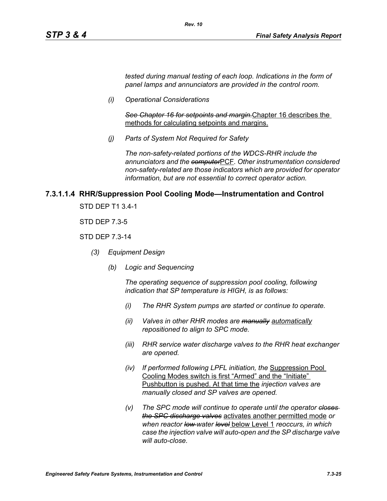*tested during manual testing of each loop. Indications in the form of panel lamps and annunciators are provided in the control room.*

*(i) Operational Considerations*

*See Chapter 16 for setpoints and margin.*Chapter 16 describes the methods for calculating setpoints and margins.

*(j) Parts of System Not Required for Safety*

*Rev. 10*

*The non-safety-related portions of the WDCS-RHR include the annunciators and the computer*PCF*. Other instrumentation considered non-safety-related are those indicators which are provided for operator information, but are not essential to correct operator action.*

#### **7.3.1.1.4 RHR/Suppression Pool Cooling Mode—Instrumentation and Control**

STD DEP T1 3.4-1

STD DEP 7.3-5

#### STD DEP 7.3-14

- *(3) Equipment Design*
	- *(b) Logic and Sequencing*

*The operating sequence of suppression pool cooling, following indication that SP temperature is HIGH, is as follows:*

- *(i) The RHR System pumps are started or continue to operate.*
- *(ii) Valves in other RHR modes are manually automatically repositioned to align to SPC mode.*
- *(iii) RHR service water discharge valves to the RHR heat exchanger are opened.*
- *(iv) If performed following LPFL initiation, the* Suppression Pool Cooling Modes switch is first "Armed" and the "Initiate" Pushbutton is pushed. At that time the *injection valves are manually closed and SP valves are opened.*
- *(v) The SPC mode will continue to operate until the operator closes the SPC discharge valves* activates another permitted mode *or when reactor low water level* below Level 1 *reoccurs, in which case the injection valve will auto-open and the SP discharge valve will auto-close.*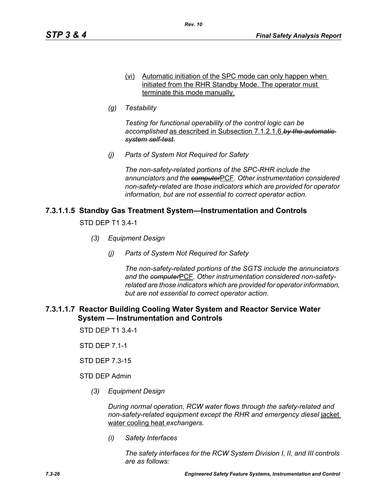- (vi) Automatic initiation of the SPC mode can only happen when initiated from the RHR Standby Mode. The operator must terminate this mode manually.
- *(g) Testability*

*Testing for functional operability of the control logic can be accomplished* as described in Subsection 7.1.2.1.6.*by the automatic system self-test.*

*(j) Parts of System Not Required for Safety*

*The non-safety-related portions of the SPC-RHR include the annunciators and the computer*PCF*. Other instrumentation considered non-safety-related are those indicators which are provided for operator information, but are not essential to correct operator action.*

## **7.3.1.1.5 Standby Gas Treatment System—Instrumentation and Controls**

STD DEP T1 3.4-1

- *(3) Equipment Design*
	- *(j) Parts of System Not Required for Safety*

*The non-safety-related portions of the SGTS include the annunciators and the computer*PCF*. Other instrumentation considered non-safetyrelated are those indicators which are provided for operator information, but are not essential to correct operator action.*

#### **7.3.1.1.7 Reactor Building Cooling Water System and Reactor Service Water System — Instrumentation and Controls**

STD DEP T1 3.4-1

STD DEP 7.1-1

STD DEP 7.3-15

STD DEP Admin

*(3) Equipment Design*

*During normal operation, RCW water flows through the safety-related and non-safety-related equipment except the RHR and emergency diesel* jacket water cooling heat *exchangers.*

*(i) Safety Interfaces*

*The safety interfaces for the RCW System Division I, II, and III controls are as follows:*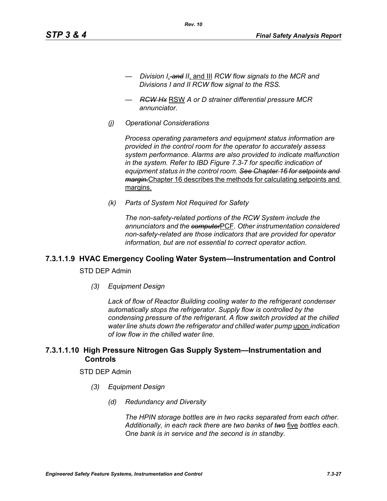- *Division I*, *and II*, and III *RCW flow signals to the MCR and Divisions I and II RCW flow signal to the RSS.*
- *RCW Hx* RSW *A or D strainer differential pressure MCR annunciator.*

*Rev. 10*

*(j) Operational Considerations*

*Process operating parameters and equipment status information are provided in the control room for the operator to accurately assess system performance. Alarms are also provided to indicate malfunction in the system. Refer to IBD Figure 7.3-7 for specific indication of equipment status in the control room. See Chapter 16 for setpoints and margin.*Chapter 16 describes the methods for calculating setpoints and margins.

*(k) Parts of System Not Required for Safety*

*The non-safety-related portions of the RCW System include the annunciators and the computer*PCF*. Other instrumentation considered non-safety-related are those indicators that are provided for operator information, but are not essential to correct operator action.*

# **7.3.1.1.9 HVAC Emergency Cooling Water System—Instrumentation and Control**

STD DEP Admin

*(3) Equipment Design*

*Lack of flow of Reactor Building cooling water to the refrigerant condenser automatically stops the refrigerator. Supply flow is controlled by the condensing pressure of the refrigerant. A flow switch provided at the chilled water line shuts down the refrigerator and chilled water pump* upon *indication of low flow in the chilled water line.*

## **7.3.1.1.10 High Pressure Nitrogen Gas Supply System—Instrumentation and Controls**

#### STD DEP Admin

- *(3) Equipment Design*
	- *(d) Redundancy and Diversity*

*The HPIN storage bottles are in two racks separated from each other. Additionally, in each rack there are two banks of two* five *bottles each. One bank is in service and the second is in standby.*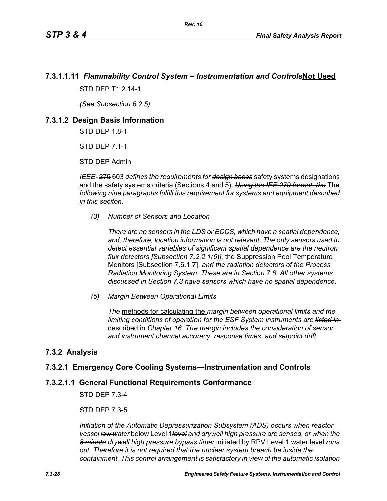# **7.3.1.1.11** *Flammability Control System – Instrumentation and Controls***Not Used**

STD DFP T1 2 14-1

*(See Subsection 6.2.5)*

#### **7.3.1.2 Design Basis Information**

STD DEP 1.8-1

STD DEP 7.1-1

STD DEP Admin

*IEEE-* 279 603 *defines the requirements for design bases* safety systems designations and the safety systems criteria (Sections 4 and 5). *Using the IEE 279 format, the* The *following nine paragraphs fulfill this requirement for systems and equipment described in this seciton.*

*(3) Number of Sensors and Location*

*There are no sensors in the LDS or ECCS, which have a spatial dependence, and, therefore, location information is not relevant. The only sensors used to detect essential variables of significant spatial dependence are the neutron flux detectors [Subsection 7.2.2.1(6*)*]*, the Suppression Pool Temperature Monitors [Subsection 7.6.1.7], *and the radiation detectors of the Process Radiation Monitoring System. These are in Section 7.6. All other systems discussed in Section 7.3 have sensors which have no spatial dependence.*

*(5) Margin Between Operational Limits*

*The* methods for calculating the *margin between operational limits and the limiting conditions of operation for the ESF System instruments are listed in*  described in *Chapter 16. The margin includes the consideration of sensor and instrument channel accuracy, response times, and setpoint drift.*

## **7.3.2 Analysis**

## **7.3.2.1 Emergency Core Cooling Systems—Instrumentation and Controls**

#### **7.3.2.1.1 General Functional Requirements Conformance**

STD DEP 7.3-4

STD DEP 7.3-5

*Initiation of the Automatic Depressurization Subsystem (ADS) occurs when reactor vessel low water* below Level 1*level and drywell high pressure are sensed, or when the 8 minute drywell high pressure bypass timer* initiated by RPV Level 1 water level *runs out. Therefore it is not required that the nuclear system breach be inside the containment. This control arrangement is satisfactory in view of the automatic isolation*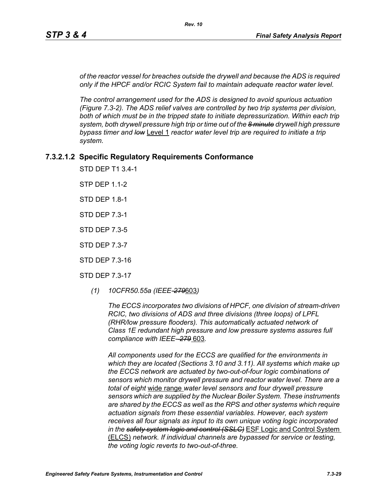*of the reactor vessel for breaches outside the drywell and because the ADS is required only if the HPCF and/or RCIC System fail to maintain adequate reactor water level.*

*The control arrangement used for the ADS is designed to avoid spurious actuation (Figure 7.3-2). The ADS relief valves are controlled by two trip systems per division,*  both of which must be in the tripped state to initiate depressurization. Within each trip *system, both drywell pressure high trip or time out of the 8 minute drywell high pressure bypass timer and low* Level 1 *reactor water level trip are required to initiate a trip system.*

#### **7.3.2.1.2 Specific Regulatory Requirements Conformance**

STD DEP T1 3.4-1

STP DEP 1.1-2

STD DEP 1.8-1

STD DEP 7.3-1

STD DEP 7.3-5

STD DEP 7.3-7

STD DEP 7.3-16

STD DEP 7.3-17

*(1) 10CFR50.55a (IEEE-279*603*)*

*The ECCS incorporates two divisions of HPCF, one division of stream-driven RCIC, two divisions of ADS and three divisions (three loops) of LPFL (RHR/low pressure flooders). This automatically actuated network of Class 1E redundant high pressure and low pressure systems assures full compliance with IEEE- 279* 603*.*

*All components used for the ECCS are qualified for the environments in which they are located (Sections 3.10 and 3.11). All systems which make up the ECCS network are actuated by two-out-of-four logic combinations of sensors which monitor drywell pressure and reactor water level. There are a total of eight* wide range *water level sensors and four drywell pressure sensors which are supplied by the Nuclear Boiler System. These instruments are shared by the ECCS as well as the RPS and other systems which require actuation signals from these essential variables. However, each system receives all four signals as input to its own unique voting logic incorporated in the safety system logic and control (SSLC)* ESF Logic and Control System (ELCS) *network. If individual channels are bypassed for service or testing, the voting logic reverts to two-out-of-three.*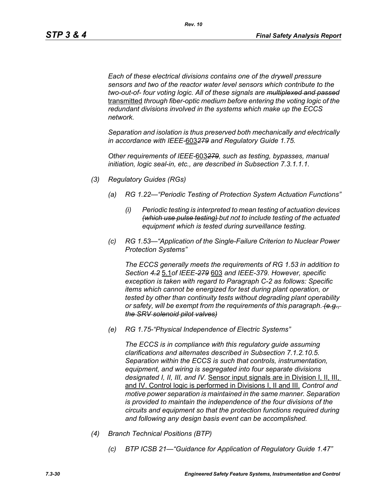*Each of these electrical divisions contains one of the drywell pressure sensors and two of the reactor water level sensors which contribute to the two-out-of- four voting logic. All of these signals are multiplexed and passed* transmitted *through fiber-optic medium before entering the voting logic of the redundant divisions involved in the systems which make up the ECCS network.* 

*Separation and isolation is thus preserved both mechanically and electrically in accordance with IEEE-*603*279 and Regulatory Guide 1.75.*

*Other requirements of IEEE-*603*279, such as testing, bypasses, manual initiation, logic seal-in, etc., are described in Subsection 7.3.1.1.1.*

- *(3) Regulatory Guides (RGs)*
	- *(a) RG 1.22—"Periodic Testing of Protection System Actuation Functions"*
		- *(i) Periodic testing is interpreted to mean testing of actuation devices (which use pulse testing) but not to include testing of the actuated equipment which is tested during surveillance testing.*
	- *(c) RG 1.53—"Application of the Single-Failure Criterion to Nuclear Power Protection Systems"*

*The ECCS generally meets the requirements of RG 1.53 in addition to Section 4.2* 5.1*of IEEE-279* 603 *and IEEE-379. However, specific exception is taken with regard to Paragraph C-2 as follows: Specific items which cannot be energized for test during plant operation, or tested by other than continuity tests without degrading plant operability or safety, will be exempt from the requirements of this paragraph. (e.g., the SRV solenoid pilot valves)*

*(e) RG 1.75-"Physical Independence of Electric Systems"*

*The ECCS is in compliance with this regulatory guide assuming clarifications and alternates described in Subsection 7.1.2.10.5. Separation within the ECCS is such that controls, instrumentation, equipment, and wiring is segregated into four separate divisions designated I, II, III, and IV.* Sensor input signals are in Division I, II, III, and IV. Control logic is performed in Divisions I, II and III. *Control and motive power separation is maintained in the same manner. Separation is provided to maintain the independence of the four divisions of the circuits and equipment so that the protection functions required during and following any design basis event can be accomplished.*

- *(4) Branch Technical Positions (BTP)*
	- *(c) BTP ICSB 21—"Guidance for Application of Regulatory Guide 1.47"*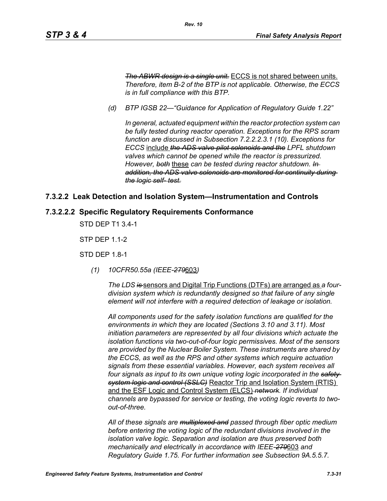*The ABWR design is a single unit.* ECCS is not shared between units. *Therefore, item B-2 of the BTP is not applicable. Otherwise, the ECCS is in full compliance with this BTP.*

*(d) BTP IGSB 22—"Guidance for Application of Regulatory Guide 1.22"*

*Rev. 10*

*In general, actuated equipment within the reactor protection system can be fully tested during reactor operation. Exceptions for the RPS scram function are discussed in Subsection 7.2.2.2.3.1 (10). Exceptions for ECCS* include *the ADS valve pilot solenoids and the LPFL shutdown valves which cannot be opened while the reactor is pressurized. However, both* these *can be tested during reactor shutdown. In addition, the ADS valve solenoids are monitored for continuity during the logic self- test.*

#### **7.3.2.2 Leak Detection and Isolation System—Instrumentation and Controls**

#### **7.3.2.2.2 Specific Regulatory Requirements Conformance**

STD DEP T1 3.4-1

STP DEP 1.1-2

STD DEP 1.8-1

*(1) 10CFR50.55a (IEEE-279*603*)*

*The LDS is* sensors and Digital Trip Functions (DTFs) are arranged as *a fourdivision system which is redundantly designed so that failure of any single element will not interfere with a required detection of leakage or isolation.*

*All components used for the safety isolation functions are qualified for the environments in which they are located (Sections 3.10 and 3.11). Most initiation parameters are represented by all four divisions which actuate the isolation functions via two-out-of-four logic permissives. Most of the sensors are provided by the Nuclear Boiler System. These instruments are shared by the ECCS, as well as the RPS and other systems which require actuation signals from these essential variables. However, each system receives all four signals as input to its own unique voting logic incorporated in the safety system logic and control (SSLC)* Reactor Trip and Isolation System (RTIS) and the ESF Logic and Control System (ELCS) *network. If individual channels are bypassed for service or testing, the voting logic reverts to twoout-of-three.*

*All of these signals are multiplexed and passed through fiber optic medium before entering the voting logic of the redundant divisions involved in the isolation valve logic. Separation and isolation are thus preserved both mechanically and electrically in accordance with IEEE-279*603 *and Regulatory Guide 1.75. For further information see Subsection 9A.5.5.7.*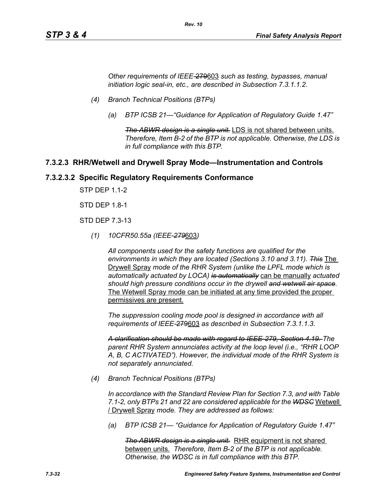*Other requirements of IEEE-*279603 *such as testing, bypasses, manual initiation logic seal-in, etc., are described in Subsection 7.3.1.1.2.*

*Rev. 10*

- *(4) Branch Technical Positions (BTPs)*
	- *(a) BTP ICSB 21—"Guidance for Application of Regulatory Guide 1.47"*

*The ABWR design is a single unit.* LDS is not shared between units. *Therefore, Item B-2 of the BTP is not applicable. Otherwise, the LDS is in full compliance with this BTP.*

#### **7.3.2.3 RHR/Wetwell and Drywell Spray Mode—Instrumentation and Controls**

#### **7.3.2.3.2 Specific Regulatory Requirements Conformance**

STP DEP 1.1-2

STD DEP 1.8-1

STD DEP 7.3-13

*(1) 10CFR50.55a (IEEE-279*603*)*

*All components used for the safety functions are qualified for the environments in which they are located (Sections 3.10 and 3.11). This* The Drywell Spray *mode of the RHR System (unlike the LPFL mode which is automatically actuated by LOCA) is automatically* can be manually *actuated should high pressure conditions occur in the drywell and wetwell air space.* The Wetwell Spray mode can be initiated at any time provided the proper permissives are present.

*The suppression cooling mode pool is designed in accordance with all requirements of IEEE-*279603 *as described in Subsection 7.3.1.1.3.*

*A clarification should be made with regard to IEEE-279, Section 4.19. The parent RHR System annunciates activity at the loop level (i.e., "RHR LOOP A, B, C ACTIVATED"). However, the individual mode of the RHR System is not separately annunciated.*

*(4) Branch Technical Positions (BTPs)*

*In accordance with the Standard Review Plan for Section 7.3, and with Table 7.1-2, only BTPs 21 and 22 are considered applicable for the WDSC* Wetwell / Drywell Spray *mode. They are addressed as follows:*

*(a) BTP ICSB 21— "Guidance for Application of Regulatory Guide 1.47"*

*The ABWR design is a single unit.* RHR equipment is not shared between units. *Therefore, Item B-2 of the BTP is not applicable. Otherwise, the WDSC is in full compliance with this BTP.*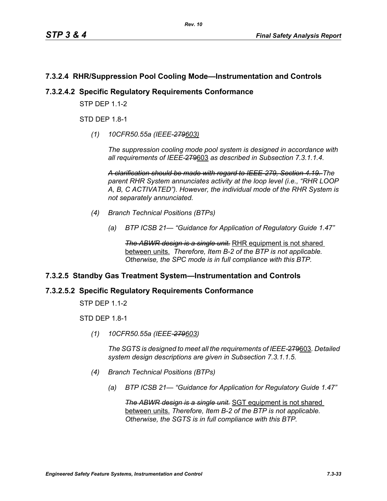# **7.3.2.4 RHR/Suppression Pool Cooling Mode—Instrumentation and Controls**

## **7.3.2.4.2 Specific Regulatory Requirements Conformance**

**STP DFP 1 1-2** 

STD DEP 1.8-1

*(1) 10CFR50.55a (IEEE-279603)*

*The suppression cooling mode pool system is designed in accordance with all requirements of IEEE-*279603 *as described in Subsection 7.3.1.1.4.*

*A clarification should be made with regard to IEEE-279, Section 4.19. The parent RHR System annunciates activity at the loop level (i.e., "RHR LOOP A, B, C ACTIVATED"). However, the individual mode of the RHR System is not separately annunciated.*

- *(4) Branch Technical Positions (BTPs)*
	- *(a) BTP ICSB 21— "Guidance for Application of Regulatory Guide 1.47"*

**The ABWR design is a single unit.** RHR equipment is not shared between units. *Therefore, Item B-2 of the BTP is not applicable. Otherwise, the SPC mode is in full compliance with this BTP.*

## **7.3.2.5 Standby Gas Treatment System—Instrumentation and Controls**

## **7.3.2.5.2 Specific Regulatory Requirements Conformance**

STP DEP 1.1-2

STD DEP 1.8-1

*(1) 10CFR50.55a (IEEE-279603)*

*The SGTS is designed to meet all the requirements of IEEE-*279603*. Detailed system design descriptions are given in Subsection 7.3.1.1.5.*

- *(4) Branch Technical Positions (BTPs)*
	- *(a) BTP ICSB 21— "Guidance for Application for Regulatory Guide 1.47"*

*The ABWR design is a single unit.* SGT equipment is not shared between units. *Therefore, Item B-2 of the BTP is not applicable. Otherwise, the SGTS is in full compliance with this BTP.*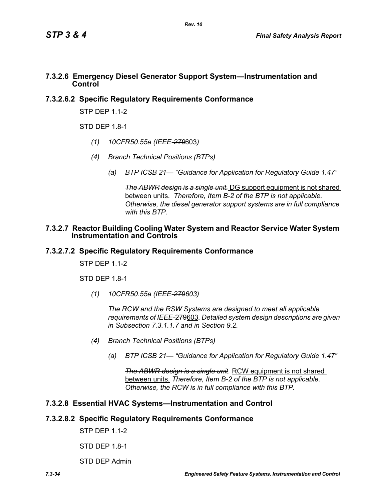#### **7.3.2.6 Emergency Diesel Generator Support System—Instrumentation and Control**

# **7.3.2.6.2 Specific Regulatory Requirements Conformance**

STP DEP 1.1-2

 $STD$  DFP 1.8-1

- *(1) 10CFR50.55a (IEEE-279*603*)*
- *(4) Branch Technical Positions (BTPs)*
	- *(a) BTP ICSB 21— "Guidance for Application for Regulatory Guide 1.47"*

*The ABWR design is a single unit.* DG support equipment is not shared between units. *Therefore, Item B-2 of the BTP is not applicable. Otherwise, the diesel generator support systems are in full compliance with this BTP.*

#### **7.3.2.7 Reactor Building Cooling Water System and Reactor Service Water System Instrumentation and Controls**

## **7.3.2.7.2 Specific Regulatory Requirements Conformance**

STP DFP 11-2

STD DEP 1.8-1

*(1) 10CFR50.55a (IEEE-279603)*

*The RCW and the RSW Systems are designed to meet all applicable requirements of IEEE-*279603*. Detailed system design descriptions are given in Subsection 7.3.1.1.7 and in Section 9.2.*

- *(4) Branch Technical Positions (BTPs)*
	- *(a) BTP ICSB 21— "Guidance for Application for Regulatory Guide 1.47"*

*The ABWR design is a single unit.* RCW equipment is not shared between units. *Therefore, Item B-2 of the BTP is not applicable. Otherwise, the RCW is in full compliance with this BTP.*

# **7.3.2.8 Essential HVAC Systems—Instrumentation and Control**

## **7.3.2.8.2 Specific Regulatory Requirements Conformance**

STP DEP 1.1-2

STD DEP 1.8-1

STD DEP Admin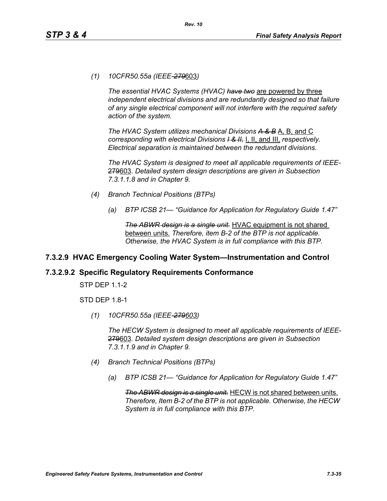*(1) 10CFR50.55a (IEEE-279*603*)*

*The essential HVAC Systems (HVAC) have two* are powered by three *independent electrical divisions and are redundantly designed so that failure of any single electrical component will not interfere with the required safety action of the system.*

*The HVAC System utilizes mechanical Divisions A & B* A, B, and C *corresponding with electrical Divisions I & II,* I, II, and III, *respectively. Electrical separation is maintained between the redundant divisions.*

*The HVAC System is designed to meet all applicable requirements of IEEE-*279603*. Detailed system design descriptions are given in Subsection 7.3.1.1.8 and in Chapter 9.*

- *(4) Branch Technical Positions (BTPs)*
	- *(a) BTP ICSB 21— "Guidance for Application for Regulatory Guide 1.47"*

*The ABWR design is a single unit.* HVAC equipment is not shared between units. *Therefore, item B-2 of the BTP is not applicable. Otherwise, the HVAC System is in full compliance with this BTP.*

# **7.3.2.9 HVAC Emergency Cooling Water System—Instrumentation and Control**

# **7.3.2.9.2 Specific Regulatory Requirements Conformance**

STP DEP 1.1-2

STD DEP 1.8-1

*(1) 10CFR50.55a (IEEE-279603)*

*The HECW System is designed to meet all applicable requirements of IEEE-*279603*. Detailed system design descriptions are given in Subsection 7.3.1.1.9 and in Chapter 9.*

- *(4) Branch Technical Positions (BTPs)*
	- *(a) BTP ICSB 21— "Guidance for Application for Regulatory Guide 1.47"*

*The ABWR design is a single unit.* HECW is not shared between units. *Therefore, Item B-2 of the BTP is not applicable. Otherwise, the HECW System is in full compliance with this BTP.*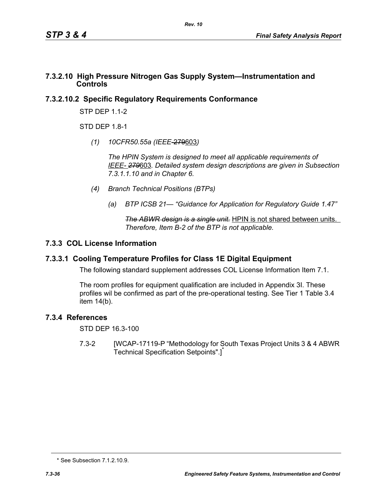#### **7.3.2.10 High Pressure Nitrogen Gas Supply System—Instrumentation and Controls**

# **7.3.2.10.2 Specific Regulatory Requirements Conformance**

STP DEP 1.1-2

STD DFP 18-1

*(1) 10CFR50.55a (IEEE*-279603*)*

*The HPIN System is designed to meet all applicable requirements of IEEE- 279*603*. Detailed system design descriptions are given in Subsection 7.3.1.1.10 and in Chapter 6.*

- *(4) Branch Technical Positions (BTPs)*
	- *(a) BTP ICSB 21— "Guidance for Application for Regulatory Guide 1.47"*

*The ABWR design is a single unit.* HPIN is not shared between units. *Therefore, Item B-2 of the BTP is not applicable.* 

# **7.3.3 COL License Information**

## **7.3.3.1 Cooling Temperature Profiles for Class 1E Digital Equipment**

The following standard supplement addresses COL License Information Item 7.1.

The room profiles for equipment qualification are included in Appendix 3I. These profiles wil be confirmed as part of the pre-operational testing. See Tier 1 Table 3.4 item 14(b).

## **7.3.4 References**

STD DEP 16.3-100

7.3-2 [WCAP-17119-P "Methodology for South Texas Project Units 3 & 4 ABWR Technical Specification Setpoints".]<sup>\*</sup>

<sup>\*</sup> See Subsection 7.1.2.10.9.